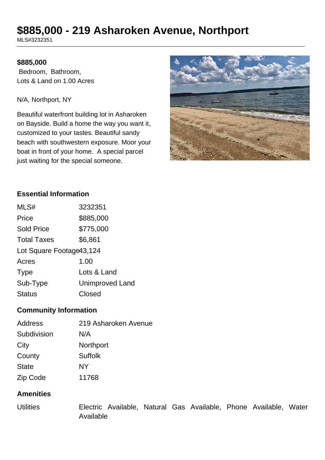# **\$885,000 - 219 Asharoken Avenue, Northport**

MLS#3232351

#### **\$885,000**

 Bedroom, Bathroom, Lots & Land on 1.00 Acres

N/A, Northport, NY

Beautiful waterfront building lot in Asharoken on Bayside. Build a home the way you want it, customized to your tastes. Beautiful sandy beach with southwestern exposure. Moor your boat in front of your home. A special parcel just waiting for the special someone.



## **Essential Information**

| MLS#                      | 3232351         |  |
|---------------------------|-----------------|--|
| Price                     | \$885,000       |  |
| <b>Sold Price</b>         | \$775,000       |  |
| <b>Total Taxes</b>        | \$6,861         |  |
| Lot Square Footage 43,124 |                 |  |
| Acres                     | 1.00            |  |
| <b>Type</b>               | Lots & Land     |  |
| Sub-Type                  | Unimproved Land |  |
| <b>Status</b>             | Closed          |  |

## **Community Information**

| <b>Address</b> | 219 Asharoken Avenue |
|----------------|----------------------|
| Subdivision    | N/A                  |
| City           | Northport            |
| County         | <b>Suffolk</b>       |
| <b>State</b>   | <b>NY</b>            |
| Zip Code       | 11768                |

#### **Amenities**

Utilities Electric Available, Natural Gas Available, Phone Available, Water Available